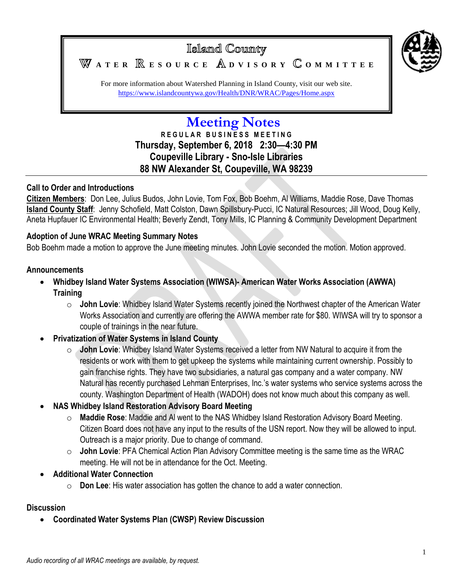

# Islamd County **A T E R E S O U R C E D V I S O R Y O M M I T T E E**

For more information about Watershed Planning in Island County, visit our web site. <https://www.islandcountywa.gov/Health/DNR/WRAC/Pages/Home.aspx>

# **Meeting Notes**

**R E G U L A R B U S I N E S S M E E T I N G Thursday, September 6, 2018 2:30—4:30 PM Coupeville Library - Sno-Isle Libraries 88 NW Alexander St, Coupeville, WA 98239**

## **Call to Order and Introductions**

**Citizen Members**: Don Lee, Julius Budos, John Lovie, Tom Fox, Bob Boehm, Al Williams, Maddie Rose, Dave Thomas **Island County Staff**: Jenny Schofield, Matt Colston, Dawn Spillsbury-Pucci, IC Natural Resources; Jill Wood, Doug Kelly, Aneta Hupfauer IC Environmental Health; Beverly Zendt, Tony Mills, IC Planning & Community Development Department

#### **Adoption of June WRAC Meeting Summary Notes**

Bob Boehm made a motion to approve the June meeting minutes. John Lovie seconded the motion. Motion approved.

#### **Announcements**

- **Whidbey Island Water Systems Association (WIWSA)- American Water Works Association (AWWA) Training**
	- o **John Lovie**: Whidbey Island Water Systems recently joined the Northwest chapter of the American Water Works Association and currently are offering the AWWA member rate for \$80. WIWSA will try to sponsor a couple of trainings in the near future.
- **Privatization of Water Systems in Island County**
	- o **John Lovie**: Whidbey Island Water Systems received a letter from NW Natural to acquire it from the residents or work with them to get upkeep the systems while maintaining current ownership. Possibly to gain franchise rights. They have two subsidiaries, a natural gas company and a water company. NW Natural has recently purchased Lehman Enterprises, Inc.'s water systems who service systems across the county. Washington Department of Health (WADOH) does not know much about this company as well.
- **NAS Whidbey Island Restoration Advisory Board Meeting**
	- o **Maddie Rose**: Maddie and Al went to the NAS Whidbey Island Restoration Advisory Board Meeting. Citizen Board does not have any input to the results of the USN report. Now they will be allowed to input. Outreach is a major priority. Due to change of command.
	- o **John Lovie**: PFA Chemical Action Plan Advisory Committee meeting is the same time as the WRAC meeting. He will not be in attendance for the Oct. Meeting.
- **Additional Water Connection**
	- o **Don Lee**: His water association has gotten the chance to add a water connection.

#### **Discussion**

**Coordinated Water Systems Plan (CWSP) Review Discussion**